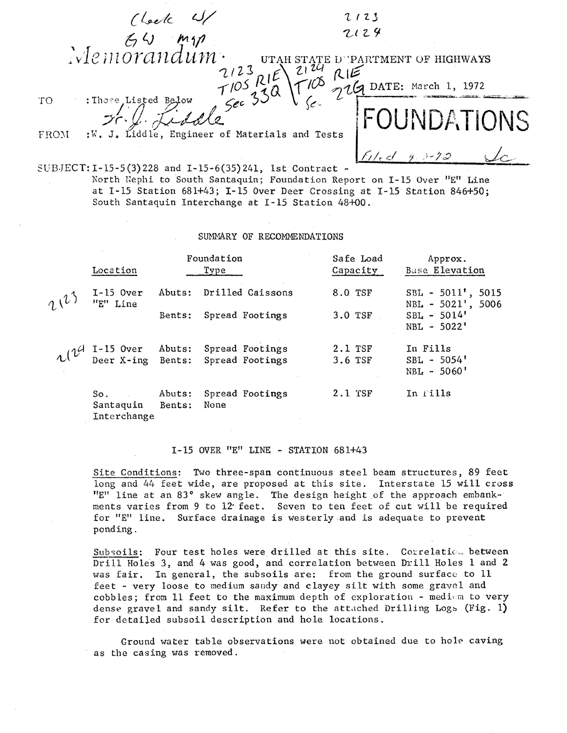|      | Check W                                                                                                                                                                                                                        | 2123       |
|------|--------------------------------------------------------------------------------------------------------------------------------------------------------------------------------------------------------------------------------|------------|
|      |                                                                                                                                                                                                                                | 2124       |
|      | $\frac{64}{100}$ Memorandum.                                                                                                                                                                                                   |            |
|      | $2/23$ $7/05$ $7/05$ $7/05$ $7/05$ $7/05$ $7/05$ $7/05$ $7/05$ $7/05$ $7/05$ $7/05$ $7/05$ $7/05$ $7/05$ $7/05$ $7/05$ $7/05$ $7/05$ $7/05$ $7/05$ $7/05$ $7/05$ $7/05$ $7/05$ $7/05$ $7/05$ $7/05$ $7/05$ $7/05$ $7/05$ $7/0$ |            |
| TO   | : Those Listed Below                                                                                                                                                                                                           |            |
| FROM | :W. J. Liddle, Engineer of Materials and Tests                                                                                                                                                                                 | OUNDATIONS |
|      |                                                                                                                                                                                                                                |            |
|      | SUBJECT: I-15-5(3)228 and I-15-6(35)241, 1st Contract -                                                                                                                                                                        |            |

North Nephi to South Santaquin; Foundation Report on I-15 Over "E" Line at I-IS Station 681+43; 1-15 Over Deer Crossing at I-IS Station 846+50; South Santaquin Interchange at I-IS Station 48+00.

SUMMARY OF RECOMMENDATIONS

|            | Location                                                   | Foundation<br>Type |                                    | Safe Load<br>Capacity | Approx.<br>Base Elevation                   |
|------------|------------------------------------------------------------|--------------------|------------------------------------|-----------------------|---------------------------------------------|
| $\tau^{1}$ | $I-15$ Over<br>"E" Line                                    | Abuts:             | Drilled Caissons                   | 8.0 TSF               | $SBL - 5011$ , 5015<br>$NBL - 5021'$ , 5006 |
|            |                                                            | Bents:             | Spread Footings                    | $3.0$ TSF             | $SBL - 5014'$<br>$NBL - 5022'$              |
|            | $\mathcal{U}^{\mathcal{U}}$ I-15 Over<br>Deer X-ing Bents: | Abuts:             | Spread Footings<br>Spread Footings | 2.1 TSF<br>3.6 TSF    | In Fills<br>$SBL - 5054'$<br>$NBL - 5060'$  |
|            | So.<br>Santaquin<br>Interchange                            | Abuts:<br>Bents:   | Spread Footings<br>None            | $2.1$ TSF             | In Fills                                    |

## I-IS OVER "E" LINE - STATION 681+43

Site Conditions: Two three-span continuous steel beam structures, 89 feet long and 44 feet wide, are proposed at this site. Interstate 15 will cross "E" line at an 83° skew angle. The design height of the approach embankments varies from 9 to 12 feet. Seven to ten feet of cut will be required for "E" line. Surface drainage is westerly.and is adequate to prevent ponding.

Subsoils: Four test holes were drilled at this site. Correlation between Drill Holes 3, and 4 was good, and correlation between Drill Holes 1 and 2 was fair. In general, the subsoils are: from the ground surface to  $11$ feet - very loose to medium sandy and clayey silt with some gravel and cobbles; from 11 feet to the maximum depth of exploration - medium to very dense gravel and sandy silt. Refer to the attached Drilling Logs (Fig. 1) for detailed subsoil description and hole locations.

Ground water table observations were not obtained due to hole caving as the casing was removed.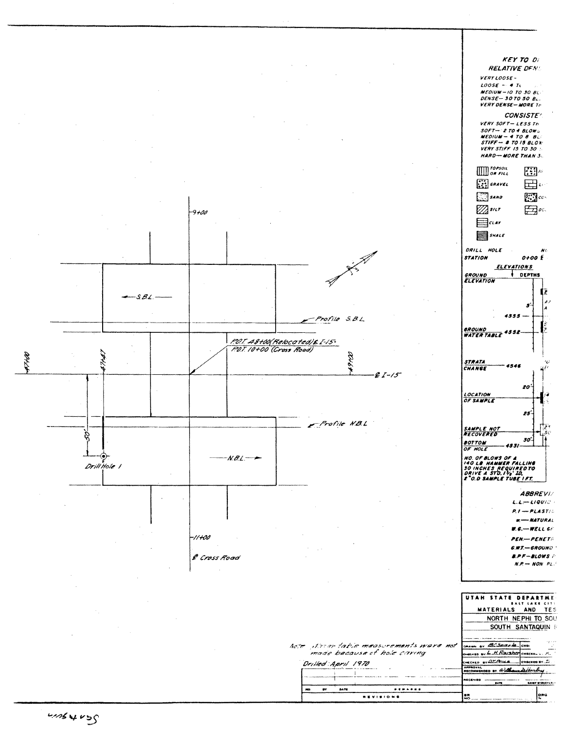

Canthur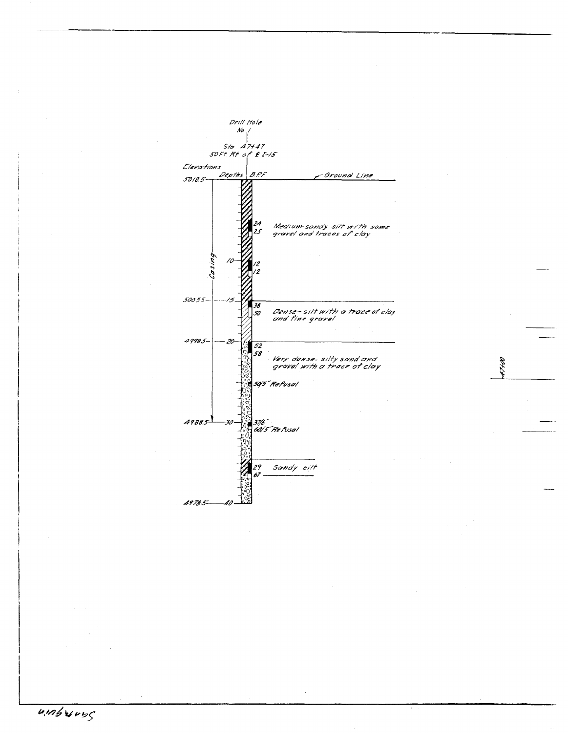

ari

 $\overline{u}$  inburned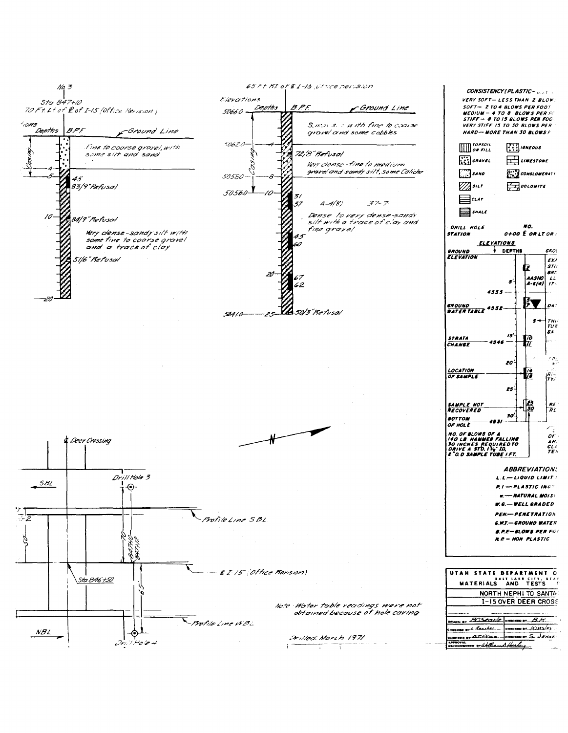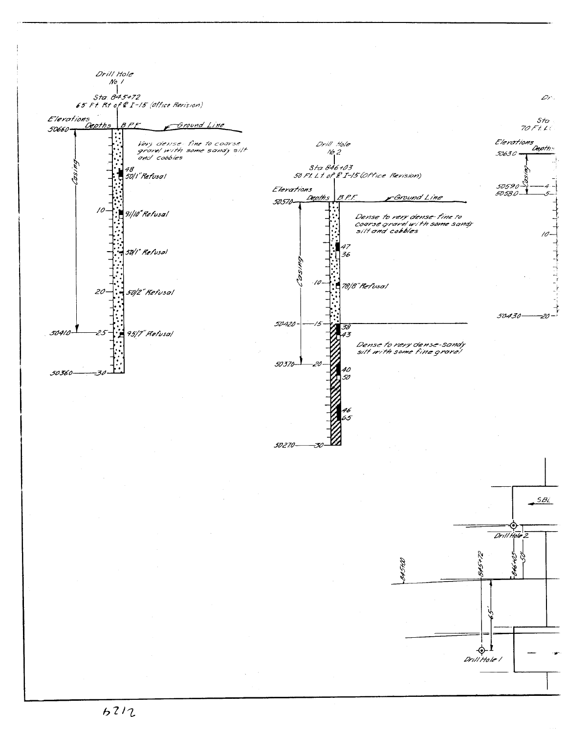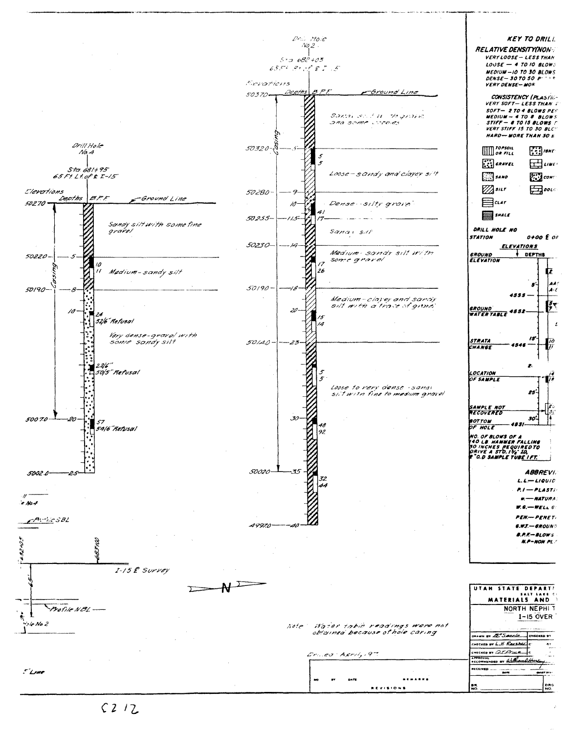